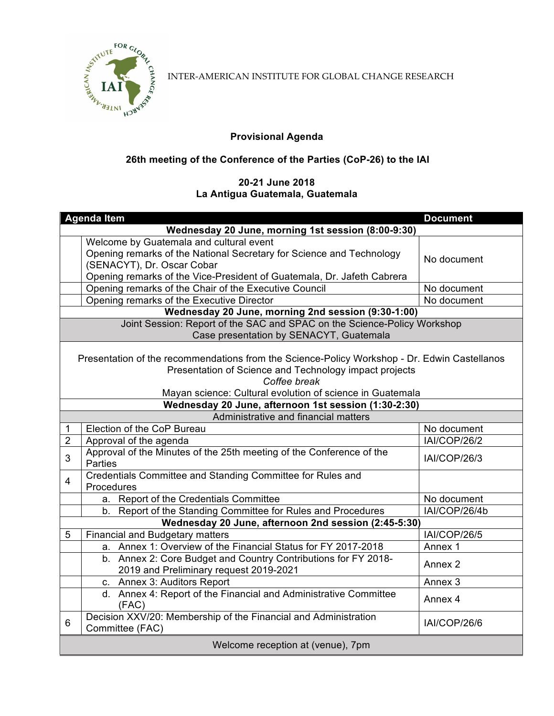

INTER-AMERICAN INSTITUTE FOR GLOBAL CHANGE RESEARCH

## **Provisional Agenda**

## **26th meeting of the Conference of the Parties (CoP-26) to the IAI**

## **20-21 June 2018 La Antigua Guatemala, Guatemala**

|                                                                                                                                                                                                                                     | <b>Agenda Item</b>                                                                                       | <b>Document</b>     |  |  |
|-------------------------------------------------------------------------------------------------------------------------------------------------------------------------------------------------------------------------------------|----------------------------------------------------------------------------------------------------------|---------------------|--|--|
| Wednesday 20 June, morning 1st session (8:00-9:30)                                                                                                                                                                                  |                                                                                                          |                     |  |  |
|                                                                                                                                                                                                                                     | Welcome by Guatemala and cultural event                                                                  |                     |  |  |
|                                                                                                                                                                                                                                     | Opening remarks of the National Secretary for Science and Technology                                     | No document         |  |  |
|                                                                                                                                                                                                                                     | (SENACYT), Dr. Oscar Cobar                                                                               |                     |  |  |
|                                                                                                                                                                                                                                     | Opening remarks of the Vice-President of Guatemala, Dr. Jafeth Cabrera                                   |                     |  |  |
|                                                                                                                                                                                                                                     | Opening remarks of the Chair of the Executive Council                                                    | No document         |  |  |
|                                                                                                                                                                                                                                     | Opening remarks of the Executive Director                                                                | No document         |  |  |
| Wednesday 20 June, morning 2nd session (9:30-1:00)                                                                                                                                                                                  |                                                                                                          |                     |  |  |
| Joint Session: Report of the SAC and SPAC on the Science-Policy Workshop                                                                                                                                                            |                                                                                                          |                     |  |  |
|                                                                                                                                                                                                                                     | Case presentation by SENACYT, Guatemala                                                                  |                     |  |  |
| Presentation of the recommendations from the Science-Policy Workshop - Dr. Edwin Castellanos<br>Presentation of Science and Technology impact projects<br>Coffee break<br>Mayan science: Cultural evolution of science in Guatemala |                                                                                                          |                     |  |  |
|                                                                                                                                                                                                                                     | Wednesday 20 June, afternoon 1st session (1:30-2:30)                                                     |                     |  |  |
|                                                                                                                                                                                                                                     | Administrative and financial matters                                                                     |                     |  |  |
| 1                                                                                                                                                                                                                                   | Election of the CoP Bureau                                                                               | No document         |  |  |
| $\overline{2}$                                                                                                                                                                                                                      | Approval of the agenda                                                                                   | IAI/COP/26/2        |  |  |
| 3                                                                                                                                                                                                                                   | Approval of the Minutes of the 25th meeting of the Conference of the<br>Parties                          | IAI/COP/26/3        |  |  |
| $\overline{4}$                                                                                                                                                                                                                      | Credentials Committee and Standing Committee for Rules and<br>Procedures                                 |                     |  |  |
|                                                                                                                                                                                                                                     | a. Report of the Credentials Committee                                                                   | No document         |  |  |
|                                                                                                                                                                                                                                     | b. Report of the Standing Committee for Rules and Procedures                                             | IAI/COP/26/4b       |  |  |
|                                                                                                                                                                                                                                     | Wednesday 20 June, afternoon 2nd session (2:45-5:30)                                                     |                     |  |  |
| 5                                                                                                                                                                                                                                   | <b>Financial and Budgetary matters</b>                                                                   | <b>IAI/COP/26/5</b> |  |  |
|                                                                                                                                                                                                                                     | a. Annex 1: Overview of the Financial Status for FY 2017-2018                                            | Annex 1             |  |  |
|                                                                                                                                                                                                                                     | b. Annex 2: Core Budget and Country Contributions for FY 2018-<br>2019 and Preliminary request 2019-2021 | Annex 2             |  |  |
|                                                                                                                                                                                                                                     | c. Annex 3: Auditors Report                                                                              | Annex <sub>3</sub>  |  |  |
|                                                                                                                                                                                                                                     | d. Annex 4: Report of the Financial and Administrative Committee<br>(FAC)                                | Annex 4             |  |  |
| 6                                                                                                                                                                                                                                   | Decision XXV/20: Membership of the Financial and Administration<br>Committee (FAC)                       | <b>IAI/COP/26/6</b> |  |  |
| Welcome reception at (venue), 7pm                                                                                                                                                                                                   |                                                                                                          |                     |  |  |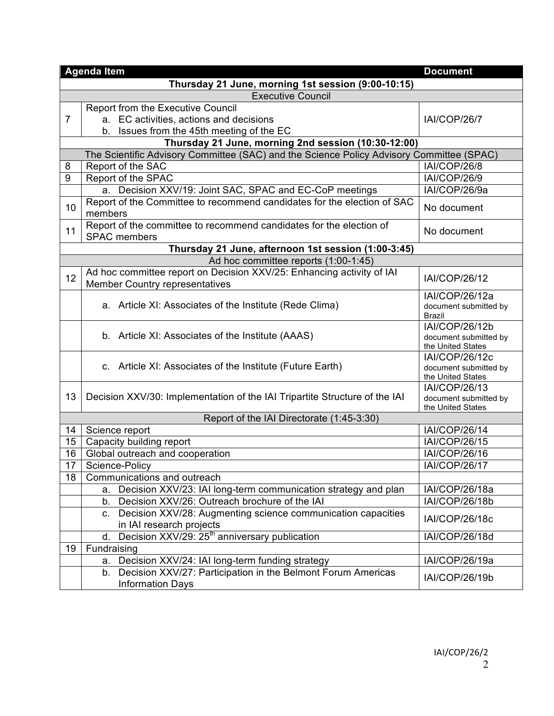|                          | <b>Agenda Item</b>                                                                                                    | <b>Document</b>                            |  |  |  |
|--------------------------|-----------------------------------------------------------------------------------------------------------------------|--------------------------------------------|--|--|--|
|                          | Thursday 21 June, morning 1st session (9:00-10:15)                                                                    |                                            |  |  |  |
| <b>Executive Council</b> |                                                                                                                       |                                            |  |  |  |
|                          | Report from the Executive Council                                                                                     |                                            |  |  |  |
| $\overline{7}$           | a. EC activities, actions and decisions                                                                               | IAI/COP/26/7                               |  |  |  |
|                          | b. Issues from the 45th meeting of the EC                                                                             |                                            |  |  |  |
|                          | Thursday 21 June, morning 2nd session (10:30-12:00)                                                                   |                                            |  |  |  |
|                          | The Scientific Advisory Committee (SAC) and the Science Policy Advisory Committee (SPAC)                              |                                            |  |  |  |
| 8                        | Report of the SAC                                                                                                     | <b>IAI/COP/26/8</b>                        |  |  |  |
| 9                        | Report of the SPAC                                                                                                    | <b>IAI/COP/26/9</b>                        |  |  |  |
|                          | a. Decision XXV/19: Joint SAC, SPAC and EC-CoP meetings                                                               | IAI/COP/26/9a                              |  |  |  |
|                          | Report of the Committee to recommend candidates for the election of SAC                                               |                                            |  |  |  |
| 10                       | members                                                                                                               | No document                                |  |  |  |
|                          | Report of the committee to recommend candidates for the election of                                                   |                                            |  |  |  |
| 11                       | <b>SPAC</b> members                                                                                                   | No document                                |  |  |  |
|                          | Thursday 21 June, afternoon 1st session (1:00-3:45)                                                                   |                                            |  |  |  |
|                          | Ad hoc committee reports (1:00-1:45)                                                                                  |                                            |  |  |  |
| 12                       | Ad hoc committee report on Decision XXV/25: Enhancing activity of IAI                                                 |                                            |  |  |  |
|                          | <b>Member Country representatives</b>                                                                                 | <b>IAI/COP/26/12</b>                       |  |  |  |
|                          |                                                                                                                       | IAI/COP/26/12a                             |  |  |  |
|                          | a. Article XI: Associates of the Institute (Rede Clima)                                                               | document submitted by                      |  |  |  |
|                          |                                                                                                                       | <b>Brazil</b>                              |  |  |  |
|                          | b. Article XI: Associates of the Institute (AAAS)                                                                     | IAI/COP/26/12b                             |  |  |  |
|                          |                                                                                                                       | document submitted by<br>the United States |  |  |  |
|                          |                                                                                                                       | <b>IAI/COP/26/12c</b>                      |  |  |  |
|                          | c. Article XI: Associates of the Institute (Future Earth)                                                             | document submitted by                      |  |  |  |
|                          |                                                                                                                       | the United States                          |  |  |  |
|                          |                                                                                                                       | <b>IAI/COP/26/13</b>                       |  |  |  |
| 13                       | Decision XXV/30: Implementation of the IAI Tripartite Structure of the IAI                                            | document submitted by                      |  |  |  |
|                          | Report of the IAI Directorate (1:45-3:30)                                                                             | the United States                          |  |  |  |
| 14                       | Science report                                                                                                        | <b>IAI/COP/26/14</b>                       |  |  |  |
| 15                       | Capacity building report                                                                                              | <b>IAI/COP/26/15</b>                       |  |  |  |
| 16                       | Global outreach and cooperation                                                                                       | IAI/COP/26/16                              |  |  |  |
| 17                       | Science-Policy                                                                                                        | <b>IAI/COP/26/17</b>                       |  |  |  |
| 18                       | Communications and outreach                                                                                           |                                            |  |  |  |
|                          |                                                                                                                       | IAI/COP/26/18a                             |  |  |  |
|                          | a. Decision XXV/23: IAI long-term communication strategy and plan<br>b. Decision XXV/26: Outreach brochure of the IAI | IAI/COP/26/18b                             |  |  |  |
|                          |                                                                                                                       |                                            |  |  |  |
|                          | c. Decision XXV/28: Augmenting science communication capacities<br>in IAI research projects                           | IAI/COP/26/18c                             |  |  |  |
|                          | Decision XXV/29: 25 <sup>th</sup> anniversary publication<br>d.                                                       | IAI/COP/26/18d                             |  |  |  |
| 19                       | Fundraising                                                                                                           |                                            |  |  |  |
|                          | a. Decision XXV/24: IAI long-term funding strategy                                                                    | IAI/COP/26/19a                             |  |  |  |
|                          |                                                                                                                       |                                            |  |  |  |
|                          | b. Decision XXV/27: Participation in the Belmont Forum Americas                                                       | IAI/COP/26/19b                             |  |  |  |
|                          | <b>Information Days</b>                                                                                               |                                            |  |  |  |